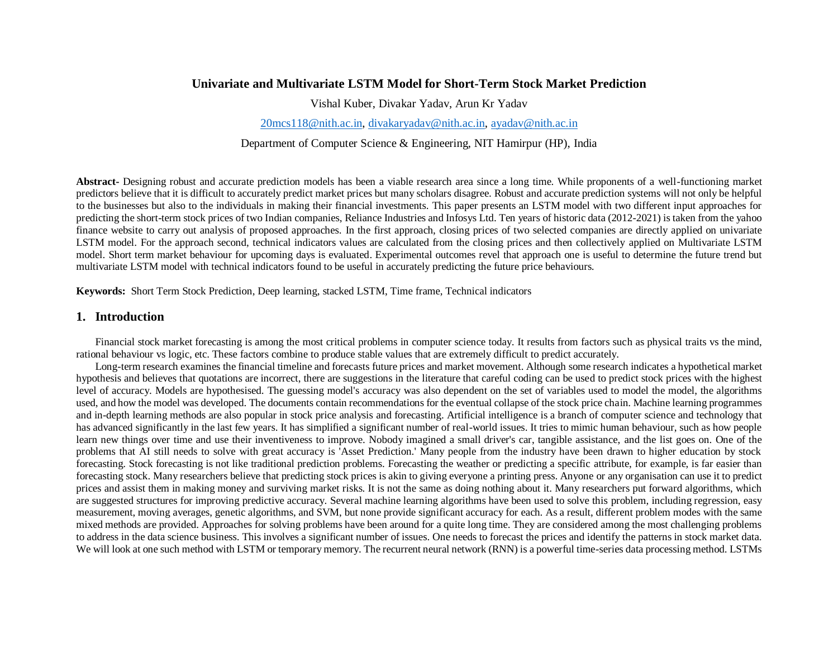## **Univariate and Multivariate LSTM Model for Short-Term Stock Market Prediction**

Vishal Kuber, Divakar Yadav, Arun Kr Yadav

[20mcs118@nith.ac.in,](mailto:20mcs118@nith.ac.in) [divakaryadav@nith.ac.in,](mailto:divakaryadav@nith.ac.in) [ayadav@nith.ac.in](mailto:ayadav@nith.ac.in)

Department of Computer Science & Engineering, NIT Hamirpur (HP), India

**Abstract-** Designing robust and accurate prediction models has been a viable research area since a long time. While proponents of a well-functioning market predictors believe that it is difficult to accurately predict market prices but many scholars disagree. Robust and accurate prediction systems will not only be helpful to the businesses but also to the individuals in making their financial investments. This paper presents an LSTM model with two different input approaches for predicting the short-term stock prices of two Indian companies, Reliance Industries and Infosys Ltd. Ten years of historic data (2012-2021) is taken from the yahoo finance website to carry out analysis of proposed approaches. In the first approach, closing prices of two selected companies are directly applied on univariate LSTM model. For the approach second, technical indicators values are calculated from the closing prices and then collectively applied on Multivariate LSTM model. Short term market behaviour for upcoming days is evaluated. Experimental outcomes revel that approach one is useful to determine the future trend but multivariate LSTM model with technical indicators found to be useful in accurately predicting the future price behaviours.

**Keywords:** Short Term Stock Prediction, Deep learning, stacked LSTM, Time frame, Technical indicators

### **1. Introduction**

Financial stock market forecasting is among the most critical problems in computer science today. It results from factors such as physical traits vs the mind, rational behaviour vs logic, etc. These factors combine to produce stable values that are extremely difficult to predict accurately.

Long-term research examines the financial timeline and forecasts future prices and market movement. Although some research indicates a hypothetical market hypothesis and believes that quotations are incorrect, there are suggestions in the literature that careful coding can be used to predict stock prices with the highest level of accuracy. Models are hypothesised. The guessing model's accuracy was also dependent on the set of variables used to model the model, the algorithms used, and how the model was developed. The documents contain recommendations for the eventual collapse of the stock price chain. Machine learning programmes and in-depth learning methods are also popular in stock price analysis and forecasting. Artificial intelligence is a branch of computer science and technology that has advanced significantly in the last few years. It has simplified a significant number of real-world issues. It tries to mimic human behaviour, such as how people learn new things over time and use their inventiveness to improve. Nobody imagined a small driver's car, tangible assistance, and the list goes on. One of the problems that AI still needs to solve with great accuracy is 'Asset Prediction.' Many people from the industry have been drawn to higher education by stock forecasting. Stock forecasting is not like traditional prediction problems. Forecasting the weather or predicting a specific attribute, for example, is far easier than forecasting stock. Many researchers believe that predicting stock prices is akin to giving everyone a printing press. Anyone or any organisation can use it to predict prices and assist them in making money and surviving market risks. It is not the same as doing nothing about it. Many researchers put forward algorithms, which are suggested structures for improving predictive accuracy. Several machine learning algorithms have been used to solve this problem, including regression, easy measurement, moving averages, genetic algorithms, and SVM, but none provide significant accuracy for each. As a result, different problem modes with the same mixed methods are provided. Approaches for solving problems have been around for a quite long time. They are considered among the most challenging problems to address in the data science business. This involves a significant number of issues. One needs to forecast the prices and identify the patterns in stock market data. We will look at one such method with LSTM or temporary memory. The recurrent neural network (RNN) is a powerful time-series data processing method. LSTMs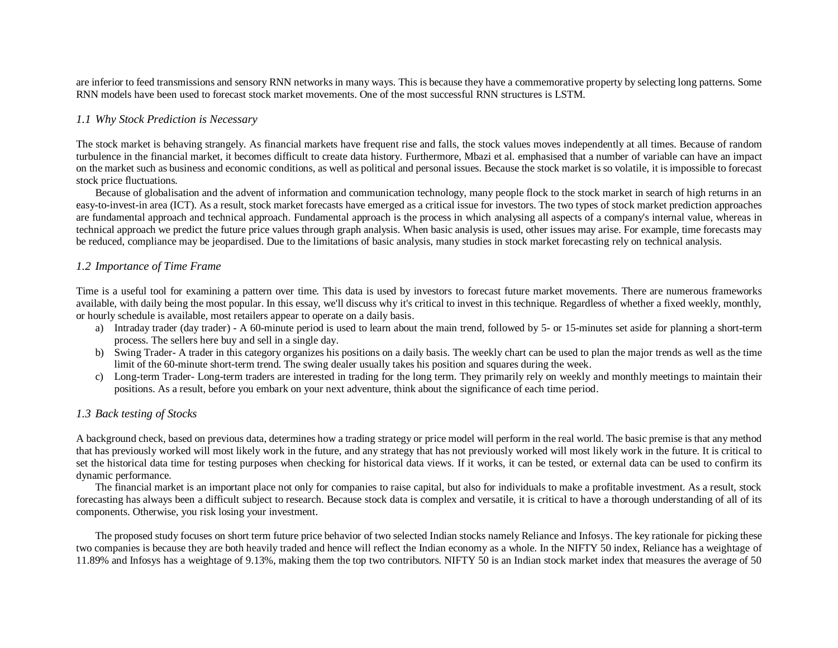are inferior to feed transmissions and sensory RNN networks in many ways. This is because they have a commemorative property by selecting long patterns. Some RNN models have been used to forecast stock market movements. One of the most successful RNN structures is LSTM.

### *1.1 Why Stock Prediction is Necessary*

The stock market is behaving strangely. As financial markets have frequent rise and falls, the stock values moves independently at all times. Because of random turbulence in the financial market, it becomes difficult to create data history. Furthermore, Mbazi et al. emphasised that a number of variable can have an impact on the market such as business and economic conditions, as well as political and personal issues. Because the stock market is so volatile, it is impossible to forecast stock price fluctuations.

Because of globalisation and the advent of information and communication technology, many people flock to the stock market in search of high returns in an easy-to-invest-in area (ICT). As a result, stock market forecasts have emerged as a critical issue for investors. The two types of stock market prediction approaches are fundamental approach and technical approach. Fundamental approach is the process in which analysing all aspects of a company's internal value, whereas in technical approach we predict the future price values through graph analysis. When basic analysis is used, other issues may arise. For example, time forecasts may be reduced, compliance may be jeopardised. Due to the limitations of basic analysis, many studies in stock market forecasting rely on technical analysis.

### *1.2 Importance of Time Frame*

Time is a useful tool for examining a pattern over time. This data is used by investors to forecast future market movements. There are numerous frameworks available, with daily being the most popular. In this essay, we'll discuss why it's critical to invest in this technique. Regardless of whether a fixed weekly, monthly, or hourly schedule is available, most retailers appear to operate on a daily basis.

- a) Intraday trader (day trader) A 60-minute period is used to learn about the main trend, followed by 5- or 15-minutes set aside for planning a short-term process. The sellers here buy and sell in a single day.
- b) Swing Trader- A trader in this category organizes his positions on a daily basis. The weekly chart can be used to plan the major trends as well as the time limit of the 60-minute short-term trend. The swing dealer usually takes his position and squares during the week.
- c) Long-term Trader- Long-term traders are interested in trading for the long term. They primarily rely on weekly and monthly meetings to maintain their positions. As a result, before you embark on your next adventure, think about the significance of each time period.

#### *1.3 Back testing of Stocks*

A background check, based on previous data, determines how a trading strategy or price model will perform in the real world. The basic premise is that any method that has previously worked will most likely work in the future, and any strategy that has not previously worked will most likely work in the future. It is critical to set the historical data time for testing purposes when checking for historical data views. If it works, it can be tested, or external data can be used to confirm its dynamic performance.

The financial market is an important place not only for companies to raise capital, but also for individuals to make a profitable investment. As a result, stock forecasting has always been a difficult subject to research. Because stock data is complex and versatile, it is critical to have a thorough understanding of all of its components. Otherwise, you risk losing your investment.

The proposed study focuses on short term future price behavior of two selected Indian stocks namely Reliance and Infosys. The key rationale for picking these two companies is because they are both heavily traded and hence will reflect the Indian economy as a whole. In the NIFTY 50 index, Reliance has a weightage of 11.89% and Infosys has a weightage of 9.13%, making them the top two contributors. NIFTY 50 is an Indian stock market index that measures the average of 50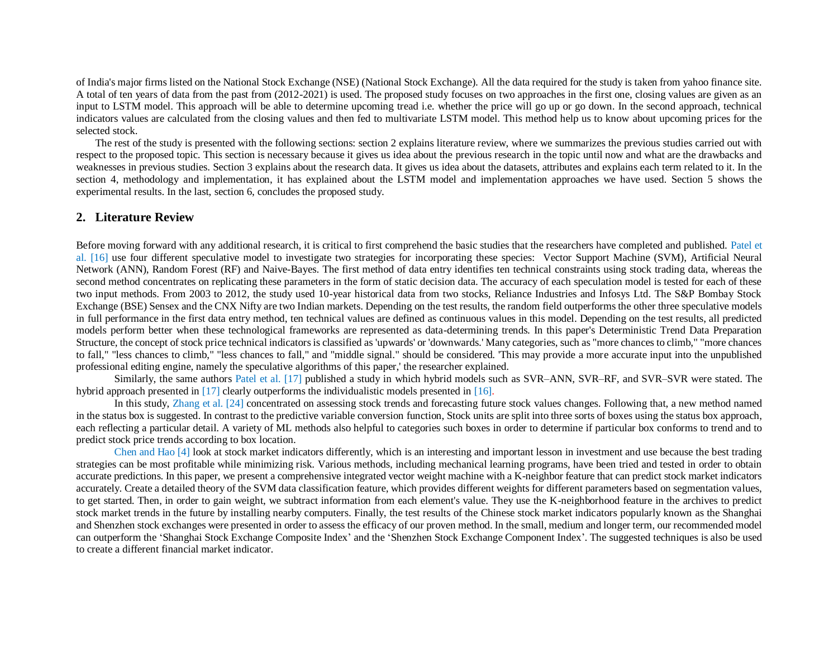of India's major firms listed on the National Stock Exchange (NSE) (National Stock Exchange). All the data required for the study is taken from yahoo finance site. A total of ten years of data from the past from (2012-2021) is used. The proposed study focuses on two approaches in the first one, closing values are given as an input to LSTM model. This approach will be able to determine upcoming tread i.e. whether the price will go up or go down. In the second approach, technical indicators values are calculated from the closing values and then fed to multivariate LSTM model. This method help us to know about upcoming prices for the selected stock.

The rest of the study is presented with the following sections: section 2 explains literature review, where we summarizes the previous studies carried out with respect to the proposed topic. This section is necessary because it gives us idea about the previous research in the topic until now and what are the drawbacks and weaknesses in previous studies. Section 3 explains about the research data. It gives us idea about the datasets, attributes and explains each term related to it. In the section 4, methodology and implementation, it has explained about the LSTM model and implementation approaches we have used. Section 5 shows the experimental results. In the last, section 6, concludes the proposed study.

#### **2. Literature Review**

Before moving forward with any additional research, it is critical to first comprehend the basic studies that the researchers have completed and published. Patel et al. [16] use four different speculative model to investigate two strategies for incorporating these species: Vector Support Machine (SVM), Artificial Neural Network (ANN), Random Forest (RF) and Naive-Bayes. The first method of data entry identifies ten technical constraints using stock trading data, whereas the second method concentrates on replicating these parameters in the form of static decision data. The accuracy of each speculation model is tested for each of these two input methods. From 2003 to 2012, the study used 10-year historical data from two stocks, Reliance Industries and Infosys Ltd. The S&P Bombay Stock Exchange (BSE) Sensex and the CNX Nifty are two Indian markets. Depending on the test results, the random field outperforms the other three speculative models in full performance in the first data entry method, ten technical values are defined as continuous values in this model. Depending on the test results, all predicted models perform better when these technological frameworks are represented as data-determining trends. In this paper's Deterministic Trend Data Preparation Structure, the concept of stock price technical indicators is classified as 'upwards' or 'downwards.' Many categories, such as "more chances to climb," "more chances to fall," "less chances to climb," "less chances to fall," and "middle signal." should be considered. 'This may provide a more accurate input into the unpublished professional editing engine, namely the speculative algorithms of this paper,' the researcher explained.

Similarly, the same authors Patel et al. [17] published a study in which hybrid models such as SVR–ANN, SVR–RF, and SVR–SVR were stated. The hybrid approach presented in [17] clearly outperforms the individualistic models presented in [16].

In this study, Zhang et al. [24] concentrated on assessing stock trends and forecasting future stock values changes. Following that, a new method named in the status box is suggested. In contrast to the predictive variable conversion function, Stock units are split into three sorts of boxes using the status box approach, each reflecting a particular detail. A variety of ML methods also helpful to categories such boxes in order to determine if particular box conforms to trend and to predict stock price trends according to box location.

Chen and Hao [4] look at stock market indicators differently, which is an interesting and important lesson in investment and use because the best trading strategies can be most profitable while minimizing risk. Various methods, including mechanical learning programs, have been tried and tested in order to obtain accurate predictions. In this paper, we present a comprehensive integrated vector weight machine with a K-neighbor feature that can predict stock market indicators accurately. Create a detailed theory of the SVM data classification feature, which provides different weights for different parameters based on segmentation values, to get started. Then, in order to gain weight, we subtract information from each element's value. They use the K-neighborhood feature in the archives to predict stock market trends in the future by installing nearby computers. Finally, the test results of the Chinese stock market indicators popularly known as the Shanghai and Shenzhen stock exchanges were presented in order to assess the efficacy of our proven method. In the small, medium and longer term, our recommended model can outperform the 'Shanghai Stock Exchange Composite Index' and the 'Shenzhen Stock Exchange Component Index'. The suggested techniques is also be used to create a different financial market indicator.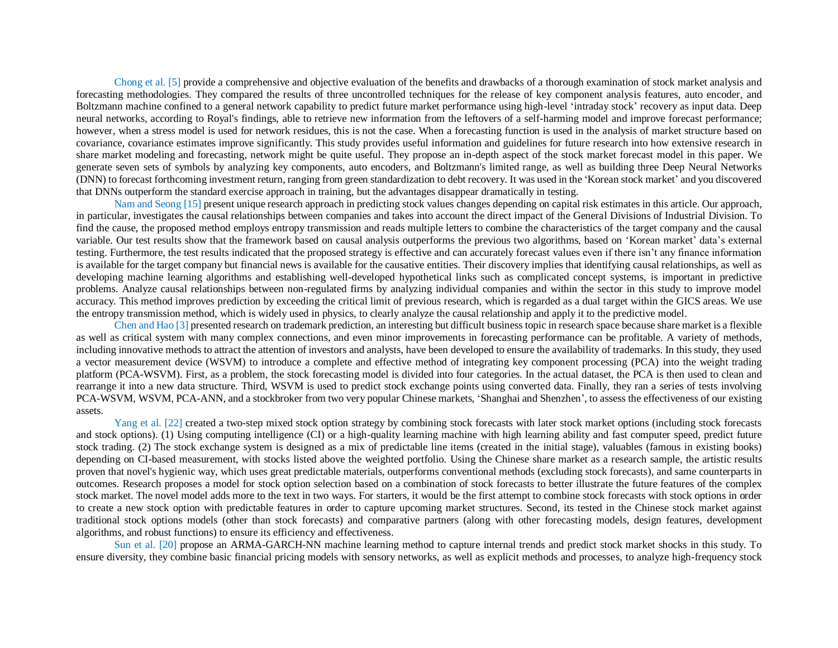Chong et al. [5] provide a comprehensive and objective evaluation of the benefits and drawbacks of a thorough examination of stock market analysis and forecasting methodologies. They compared the results of three uncontrolled techniques for the release of key component analysis features, auto encoder, and Boltzmann machine confined to a general network capability to predict future market performance using high-level 'intraday stock' recovery as input data. Deep neural networks, according to Royal's findings, able to retrieve new information from the leftovers of a self-harming model and improve forecast performance; however, when a stress model is used for network residues, this is not the case. When a forecasting function is used in the analysis of market structure based on covariance, covariance estimates improve significantly. This study provides useful information and guidelines for future research into how extensive research in share market modeling and forecasting, network might be quite useful. They propose an in-depth aspect of the stock market forecast model in this paper. We generate seven sets of symbols by analyzing key components, auto encoders, and Boltzmann's limited range, as well as building three Deep Neural Networks (DNN) to forecast forthcoming investment return, ranging from green standardization to debt recovery. It was used in the 'Korean stock market' and you discovered that DNNs outperform the standard exercise approach in training, but the advantages disappear dramatically in testing.

Nam and Seong [15] present unique research approach in predicting stock values changes depending on capital risk estimates in this article. Our approach, in particular, investigates the causal relationships between companies and takes into account the direct impact of the General Divisions of Industrial Division. To find the cause, the proposed method employs entropy transmission and reads multiple letters to combine the characteristics of the target company and the causal variable. Our test results show that the framework based on causal analysis outperforms the previous two algorithms, based on 'Korean market' data's external testing. Furthermore, the test results indicated that the proposed strategy is effective and can accurately forecast values even if there isn't any finance information is available for the target company but financial news is available for the causative entities. Their discovery implies that identifying causal relationships, as well as developing machine learning algorithms and establishing well-developed hypothetical links such as complicated concept systems, is important in predictive problems. Analyze causal relationships between non-regulated firms by analyzing individual companies and within the sector in this study to improve model accuracy. This method improves prediction by exceeding the critical limit of previous research, which is regarded as a dual target within the GICS areas. We use the entropy transmission method, which is widely used in physics, to clearly analyze the causal relationship and apply it to the predictive model.

Chen and Hao [3] presented research on trademark prediction, an interesting but difficult business topic in research space because share market is a flexible as well as critical system with many complex connections, and even minor improvements in forecasting performance can be profitable. A variety of methods, including innovative methods to attract the attention of investors and analysts, have been developed to ensure the availability of trademarks. In this study, they used a vector measurement device (WSVM) to introduce a complete and effective method of integrating key component processing (PCA) into the weight trading platform (PCA-WSVM). First, as a problem, the stock forecasting model is divided into four categories. In the actual dataset, the PCA is then used to clean and rearrange it into a new data structure. Third, WSVM is used to predict stock exchange points using converted data. Finally, they ran a series of tests involving PCA-WSVM, WSVM, PCA-ANN, and a stockbroker from two very popular Chinese markets, 'Shanghai and Shenzhen', to assess the effectiveness of our existing assets.

Yang et al. [22] created a two-step mixed stock option strategy by combining stock forecasts with later stock market options (including stock forecasts and stock options). (1) Using computing intelligence (CI) or a high-quality learning machine with high learning ability and fast computer speed, predict future stock trading. (2) The stock exchange system is designed as a mix of predictable line items (created in the initial stage), valuables (famous in existing books) depending on CI-based measurement, with stocks listed above the weighted portfolio. Using the Chinese share market as a research sample, the artistic results proven that novel's hygienic way, which uses great predictable materials, outperforms conventional methods (excluding stock forecasts), and same counterparts in outcomes. Research proposes a model for stock option selection based on a combination of stock forecasts to better illustrate the future features of the complex stock market. The novel model adds more to the text in two ways. For starters, it would be the first attempt to combine stock forecasts with stock options in order to create a new stock option with predictable features in order to capture upcoming market structures. Second, its tested in the Chinese stock market against traditional stock options models (other than stock forecasts) and comparative partners (along with other forecasting models, design features, development algorithms, and robust functions) to ensure its efficiency and effectiveness.

Sun et al. [20] propose an ARMA-GARCH-NN machine learning method to capture internal trends and predict stock market shocks in this study. To ensure diversity, they combine basic financial pricing models with sensory networks, as well as explicit methods and processes, to analyze high-frequency stock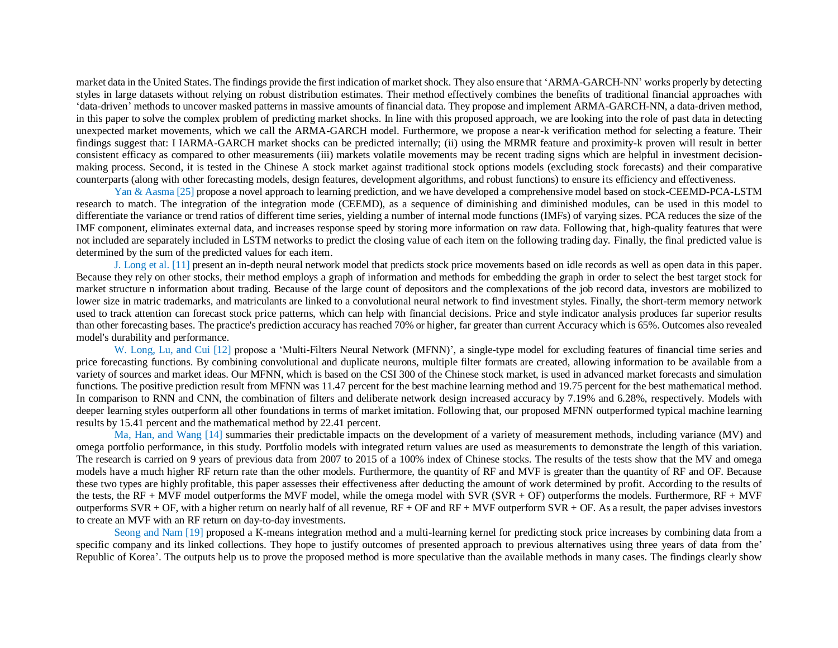market data in the United States. The findings provide the first indication of market shock. They also ensure that 'ARMA-GARCH-NN' works properly by detecting styles in large datasets without relying on robust distribution estimates. Their method effectively combines the benefits of traditional financial approaches with 'data-driven' methods to uncover masked patterns in massive amounts of financial data. They propose and implement ARMA-GARCH-NN, a data-driven method, in this paper to solve the complex problem of predicting market shocks. In line with this proposed approach, we are looking into the role of past data in detecting unexpected market movements, which we call the ARMA-GARCH model. Furthermore, we propose a near-k verification method for selecting a feature. Their findings suggest that: I IARMA-GARCH market shocks can be predicted internally; (ii) using the MRMR feature and proximity-k proven will result in better consistent efficacy as compared to other measurements (iii) markets volatile movements may be recent trading signs which are helpful in investment decisionmaking process. Second, it is tested in the Chinese A stock market against traditional stock options models (excluding stock forecasts) and their comparative counterparts (along with other forecasting models, design features, development algorithms, and robust functions) to ensure its efficiency and effectiveness.

Yan & Aasma [25] propose a novel approach to learning prediction, and we have developed a comprehensive model based on stock-CEEMD-PCA-LSTM research to match. The integration of the integration mode (CEEMD), as a sequence of diminishing and diminished modules, can be used in this model to differentiate the variance or trend ratios of different time series, yielding a number of internal mode functions (IMFs) of varying sizes. PCA reduces the size of the IMF component, eliminates external data, and increases response speed by storing more information on raw data. Following that, high-quality features that were not included are separately included in LSTM networks to predict the closing value of each item on the following trading day. Finally, the final predicted value is determined by the sum of the predicted values for each item.

J. Long et al. [11] present an in-depth neural network model that predicts stock price movements based on idle records as well as open data in this paper. Because they rely on other stocks, their method employs a graph of information and methods for embedding the graph in order to select the best target stock for market structure n information about trading. Because of the large count of depositors and the complexations of the job record data, investors are mobilized to lower size in matric trademarks, and matriculants are linked to a convolutional neural network to find investment styles. Finally, the short-term memory network used to track attention can forecast stock price patterns, which can help with financial decisions. Price and style indicator analysis produces far superior results than other forecasting bases. The practice's prediction accuracy has reached 70% or higher, far greater than current Accuracy which is 65%. Outcomes also revealed model's durability and performance.

W. Long, Lu, and Cui [12] propose a 'Multi-Filters Neural Network (MFNN)', a single-type model for excluding features of financial time series and price forecasting functions. By combining convolutional and duplicate neurons, multiple filter formats are created, allowing information to be available from a variety of sources and market ideas. Our MFNN, which is based on the CSI 300 of the Chinese stock market, is used in advanced market forecasts and simulation functions. The positive prediction result from MFNN was 11.47 percent for the best machine learning method and 19.75 percent for the best mathematical method. In comparison to RNN and CNN, the combination of filters and deliberate network design increased accuracy by 7.19% and 6.28%, respectively. Models with deeper learning styles outperform all other foundations in terms of market imitation. Following that, our proposed MFNN outperformed typical machine learning results by 15.41 percent and the mathematical method by 22.41 percent.

Ma, Han, and Wang [14] summaries their predictable impacts on the development of a variety of measurement methods, including variance (MV) and omega portfolio performance, in this study. Portfolio models with integrated return values are used as measurements to demonstrate the length of this variation. The research is carried on 9 years of previous data from 2007 to 2015 of a 100% index of Chinese stocks. The results of the tests show that the MV and omega models have a much higher RF return rate than the other models. Furthermore, the quantity of RF and MVF is greater than the quantity of RF and OF. Because these two types are highly profitable, this paper assesses their effectiveness after deducting the amount of work determined by profit. According to the results of the tests, the RF + MVF model outperforms the MVF model, while the omega model with SVR (SVR + OF) outperforms the models. Furthermore,  $RF + MVF$ outperforms  $SVR + OF$ , with a higher return on nearly half of all revenue,  $RF + OF$  and  $RF + MVF$  outperform  $SVR + OF$ . As a result, the paper advises investors to create an MVF with an RF return on day-to-day investments.

Seong and Nam [19] proposed a K-means integration method and a multi-learning kernel for predicting stock price increases by combining data from a specific company and its linked collections. They hope to justify outcomes of presented approach to previous alternatives using three years of data from the' Republic of Korea'. The outputs help us to prove the proposed method is more speculative than the available methods in many cases. The findings clearly show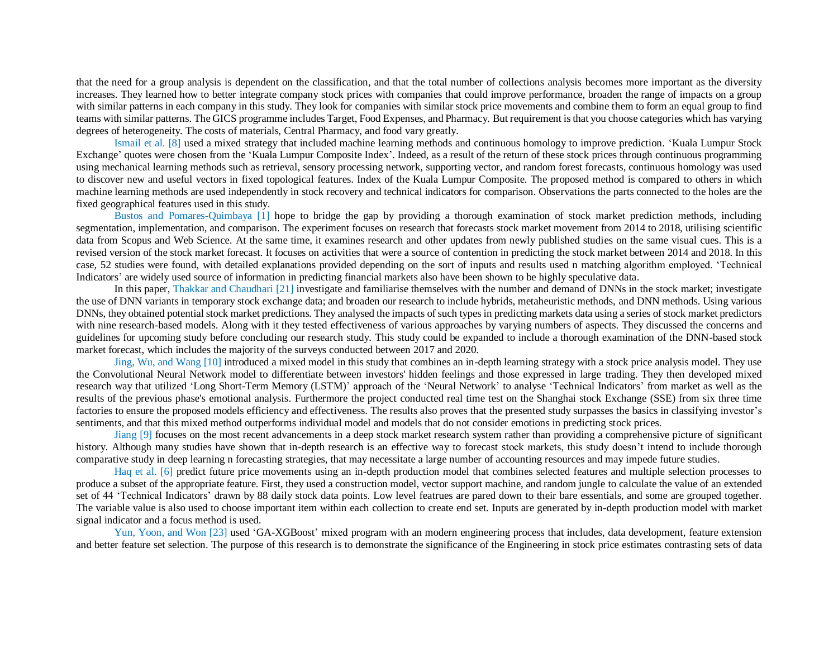that the need for a group analysis is dependent on the classification, and that the total number of collections analysis becomes more important as the diversity increases. They learned how to better integrate company stock prices with companies that could improve performance, broaden the range of impacts on a group with similar patterns in each company in this study. They look for companies with similar stock price movements and combine them to form an equal group to find teams with similar patterns. The GICS programme includes Target, Food Expenses, and Pharmacy. But requirement isthat you choose categories which has varying degrees of heterogeneity. The costs of materials, Central Pharmacy, and food vary greatly.

Ismail et al. [8] used a mixed strategy that included machine learning methods and continuous homology to improve prediction. 'Kuala Lumpur Stock Exchange' quotes were chosen from the 'Kuala Lumpur Composite Index'. Indeed, as a result of the return of these stock prices through continuous programming using mechanical learning methods such as retrieval, sensory processing network, supporting vector, and random forest forecasts, continuous homology was used to discover new and useful vectors in fixed topological features. Index of the Kuala Lumpur Composite. The proposed method is compared to others in which machine learning methods are used independently in stock recovery and technical indicators for comparison. Observations the parts connected to the holes are the fixed geographical features used in this study.

Bustos and Pomares-Quimbaya [1] hope to bridge the gap by providing a thorough examination of stock market prediction methods, including segmentation, implementation, and comparison. The experiment focuses on research that forecasts stock market movement from 2014 to 2018, utilising scientific data from Scopus and Web Science. At the same time, it examines research and other updates from newly published studies on the same visual cues. This is a revised version of the stock market forecast. It focuses on activities that were a source of contention in predicting the stock market between 2014 and 2018. In this case, 52 studies were found, with detailed explanations provided depending on the sort of inputs and results used n matching algorithm employed. 'Technical Indicators' are widely used source of information in predicting financial markets also have been shown to be highly speculative data.

In this paper, Thakkar and Chaudhari [21] investigate and familiarise themselves with the number and demand of DNNs in the stock market; investigate the use of DNN variants in temporary stock exchange data; and broaden our research to include hybrids, metaheuristic methods, and DNN methods. Using various DNNs, they obtained potential stock market predictions. They analysed the impacts of such types in predicting markets data using a series of stock market predictors with nine research-based models. Along with it they tested effectiveness of various approaches by varying numbers of aspects. They discussed the concerns and guidelines for upcoming study before concluding our research study. This study could be expanded to include a thorough examination of the DNN-based stock market forecast, which includes the majority of the surveys conducted between 2017 and 2020.

Jing, Wu, and Wang [10] introduced a mixed model in this study that combines an in-depth learning strategy with a stock price analysis model. They use the Convolutional Neural Network model to differentiate between investors' hidden feelings and those expressed in large trading. They then developed mixed research way that utilized 'Long Short-Term Memory (LSTM)' approach of the 'Neural Network' to analyse 'Technical Indicators' from market as well as the results of the previous phase's emotional analysis. Furthermore the project conducted real time test on the Shanghai stock Exchange (SSE) from six three time factories to ensure the proposed models efficiency and effectiveness. The results also proves that the presented study surpasses the basics in classifying investor's sentiments, and that this mixed method outperforms individual model and models that do not consider emotions in predicting stock prices.

Jiang [9] focuses on the most recent advancements in a deep stock market research system rather than providing a comprehensive picture of significant history. Although many studies have shown that in-depth research is an effective way to forecast stock markets, this study doesn't intend to include thorough comparative study in deep learning n forecasting strategies, that may necessitate a large number of accounting resources and may impede future studies.

Haq et al. [6] predict future price movements using an in-depth production model that combines selected features and multiple selection processes to produce a subset of the appropriate feature. First, they used a construction model, vector support machine, and random jungle to calculate the value of an extended set of 44 'Technical Indicators' drawn by 88 daily stock data points. Low level featrues are pared down to their bare essentials, and some are grouped together. The variable value is also used to choose important item within each collection to create end set. Inputs are generated by in-depth production model with market signal indicator and a focus method is used.

Yun, Yoon, and Won [23] used 'GA-XGBoost' mixed program with an modern engineering process that includes, data development, feature extension and better feature set selection. The purpose of this research is to demonstrate the significance of the Engineering in stock price estimates contrasting sets of data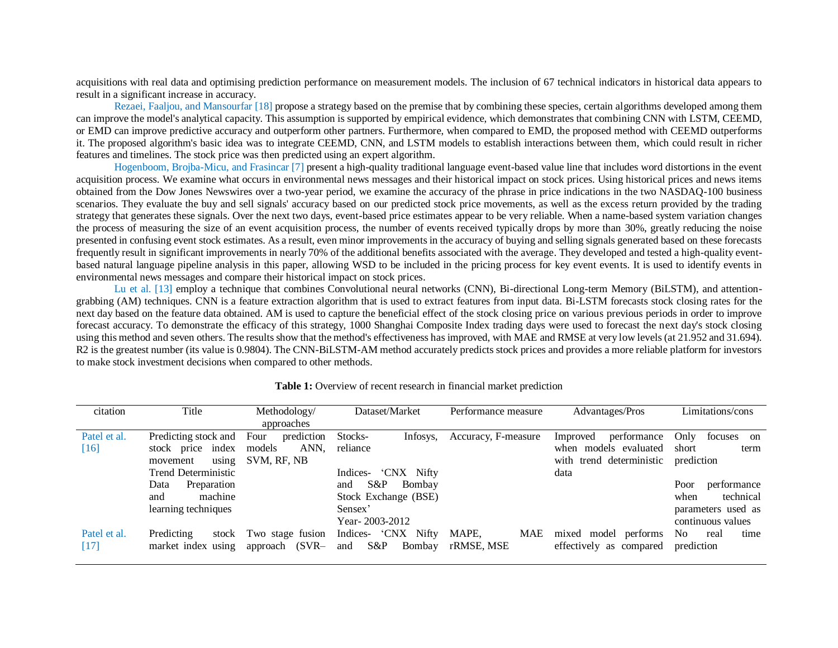acquisitions with real data and optimising prediction performance on measurement models. The inclusion of 67 technical indicators in historical data appears to result in a significant increase in accuracy.

Rezaei, Faaljou, and Mansourfar [18] propose a strategy based on the premise that by combining these species, certain algorithms developed among them can improve the model's analytical capacity. This assumption is supported by empirical evidence, which demonstrates that combining CNN with LSTM, CEEMD, or EMD can improve predictive accuracy and outperform other partners. Furthermore, when compared to EMD, the proposed method with CEEMD outperforms it. The proposed algorithm's basic idea was to integrate CEEMD, CNN, and LSTM models to establish interactions between them, which could result in richer features and timelines. The stock price was then predicted using an expert algorithm.

Hogenboom, Brojba-Micu, and Frasincar [7] present a high-quality traditional language event-based value line that includes word distortions in the event acquisition process. We examine what occurs in environmental news messages and their historical impact on stock prices. Using historical prices and news items obtained from the Dow Jones Newswires over a two-year period, we examine the accuracy of the phrase in price indications in the two NASDAQ-100 business scenarios. They evaluate the buy and sell signals' accuracy based on our predicted stock price movements, as well as the excess return provided by the trading strategy that generates these signals. Over the next two days, event-based price estimates appear to be very reliable. When a name-based system variation changes the process of measuring the size of an event acquisition process, the number of events received typically drops by more than 30%, greatly reducing the noise presented in confusing event stock estimates. As a result, even minor improvements in the accuracy of buying and selling signals generated based on these forecasts frequently result in significant improvements in nearly 70% of the additional benefits associated with the average. They developed and tested a high-quality eventbased natural language pipeline analysis in this paper, allowing WSD to be included in the pricing process for key event events. It is used to identify events in environmental news messages and compare their historical impact on stock prices.

Lu et al. [13] employ a technique that combines Convolutional neural networks (CNN), Bi-directional Long-term Memory (BiLSTM), and attentiongrabbing (AM) techniques. CNN is a feature extraction algorithm that is used to extract features from input data. Bi-LSTM forecasts stock closing rates for the next day based on the feature data obtained. AM is used to capture the beneficial effect of the stock closing price on various previous periods in order to improve forecast accuracy. To demonstrate the efficacy of this strategy, 1000 Shanghai Composite Index trading days were used to forecast the next day's stock closing using this method and seven others. The results show that the method's effectiveness has improved, with MAE and RMSE at very low levels (at 21.952 and 31.694). R2 is the greatest number (its value is 0.9804). The CNN-BiLSTM-AM method accurately predicts stock prices and provides a more reliable platform for investors to make stock investment decisions when compared to other methods.

| citation             | Title                                     | Methodology/                            | Dataset/Market                              | Performance measure               | Advantages/Pros                                       | Limitations/cons                  |
|----------------------|-------------------------------------------|-----------------------------------------|---------------------------------------------|-----------------------------------|-------------------------------------------------------|-----------------------------------|
|                      |                                           | approaches                              |                                             |                                   |                                                       |                                   |
| Patel et al.         | Predicting stock and                      | prediction<br>Four                      | Infosys.<br>Stocks-                         | Accuracy, F-measure               | performance<br>Improved                               | Only<br>focuses<br>on             |
| $[16]$               | index<br>stock price                      | ANN,<br>models                          | reliance                                    |                                   | when models evaluated                                 | short<br>term                     |
|                      | using<br>movement                         | SVM, RF, NB                             |                                             |                                   | with trend deterministic                              | prediction                        |
|                      | <b>Trend Deterministic</b>                |                                         | 'CNX Nifty<br>Indices-                      |                                   | data                                                  |                                   |
|                      | Preparation<br>Data                       |                                         | $S\&P$<br>Bombay<br>and                     |                                   |                                                       | Poor<br>performance               |
|                      | machine<br>and                            |                                         | Stock Exchange (BSE)                        |                                   |                                                       | technical<br>when                 |
|                      | learning techniques                       |                                         | Sensex'                                     |                                   |                                                       | parameters used as                |
|                      |                                           |                                         | Year-2003-2012                              |                                   |                                                       | continuous values                 |
| Patel et al.<br>[17] | Predicting<br>stock<br>market index using | Two stage fusion<br>$(SVR-$<br>approach | Indices- 'CNX Nifty<br>S&P<br>Bombay<br>and | MAPE.<br><b>MAE</b><br>rRMSE, MSE | model<br>performs<br>mixed<br>effectively as compared | No.<br>time<br>real<br>prediction |

#### **Table 1:** Overview of recent research in financial market prediction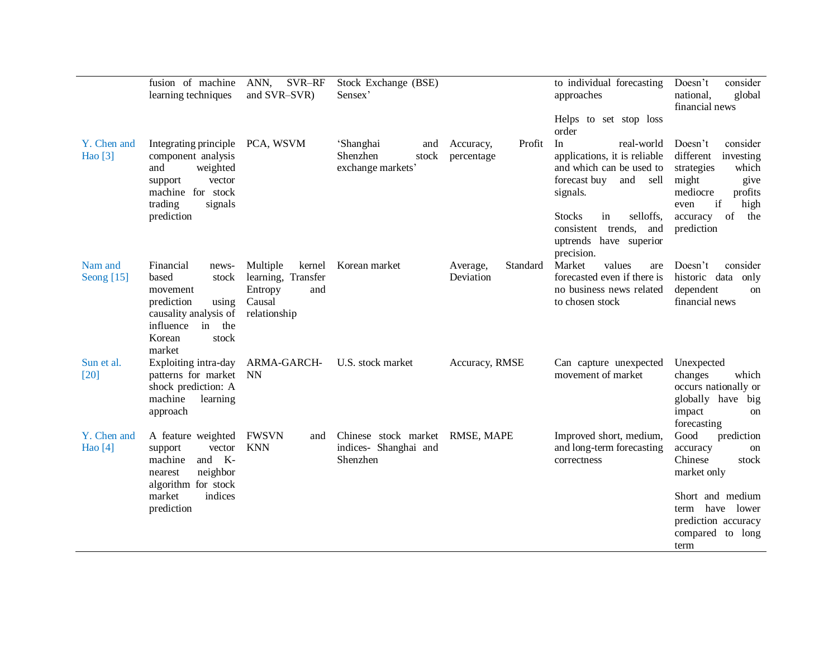|                         | fusion of machine<br>learning techniques                                                                                                                       | ANN,<br>SVR-RF<br>and SVR-SVR)                             | Stock Exchange (BSE)<br>Sensex'                            |                                   | to individual forecasting<br>approaches                                                                                                                                                                                    | consider<br>Doesn't<br>national,<br>global<br>financial news                                                                                                              |
|-------------------------|----------------------------------------------------------------------------------------------------------------------------------------------------------------|------------------------------------------------------------|------------------------------------------------------------|-----------------------------------|----------------------------------------------------------------------------------------------------------------------------------------------------------------------------------------------------------------------------|---------------------------------------------------------------------------------------------------------------------------------------------------------------------------|
|                         |                                                                                                                                                                |                                                            |                                                            |                                   | Helps to set stop loss<br>order                                                                                                                                                                                            |                                                                                                                                                                           |
| Y. Chen and<br>Hao [3]  | Integrating principle PCA, WSVM<br>component analysis<br>weighted<br>and<br>vector<br>support<br>machine for stock<br>trading<br>signals<br>prediction         |                                                            | 'Shanghai<br>and<br>Shenzhen<br>stock<br>exchange markets' | Accuracy,<br>Profit<br>percentage | In<br>real-world<br>applications, it is reliable<br>and which can be used to<br>forecast buy<br>and sell<br>signals.<br><b>Stocks</b><br>in<br>selloffs,<br>consistent trends, and<br>uptrends have superior<br>precision. | consider<br>Doesn't<br>different<br>investing<br>strategies<br>which<br>might<br>give<br>mediocre<br>profits<br>if<br>high<br>even<br>of<br>accuracy<br>the<br>prediction |
| Nam and<br>Seong $[15]$ | Financial<br>news-<br>based<br>stock<br>movement<br>using<br>prediction<br>causality analysis of relationship<br>influence in the<br>stock<br>Korean<br>market | Multiple<br>learning, Transfer<br>Entropy<br>and<br>Causal | kernel Korean market                                       | Standard<br>Average,<br>Deviation | Market<br>values<br>are<br>forecasted even if there is<br>no business news related<br>to chosen stock                                                                                                                      | Doesn't<br>consider<br>historic data only<br>dependent<br><sub>on</sub><br>financial news                                                                                 |
| Sun et al.<br>[20]      | Exploiting intra-day ARMA-GARCH-<br>patterns for market NN<br>shock prediction: A<br>machine<br>learning<br>approach                                           |                                                            | U.S. stock market                                          | Accuracy, RMSE                    | Can capture unexpected<br>movement of market                                                                                                                                                                               | Unexpected<br>changes<br>which<br>occurs nationally or<br>globally have big<br>impact<br><sub>on</sub><br>forecasting                                                     |
| Y. Chen and<br>Hao [4]  | A feature weighted<br>vector<br>support<br>machine<br>and K-<br>neighbor<br>nearest<br>algorithm for stock<br>indices<br>market<br>prediction                  | <b>FWSVN</b><br>and<br><b>KNN</b>                          | Chinese stock market<br>indices- Shanghai and<br>Shenzhen  | RMSE, MAPE                        | Improved short, medium,<br>and long-term forecasting<br>correctness                                                                                                                                                        | Good<br>prediction<br>accuracy<br>on<br>Chinese<br>stock<br>market only<br>Short and medium<br>have lower<br>term<br>prediction accuracy<br>compared to long<br>term      |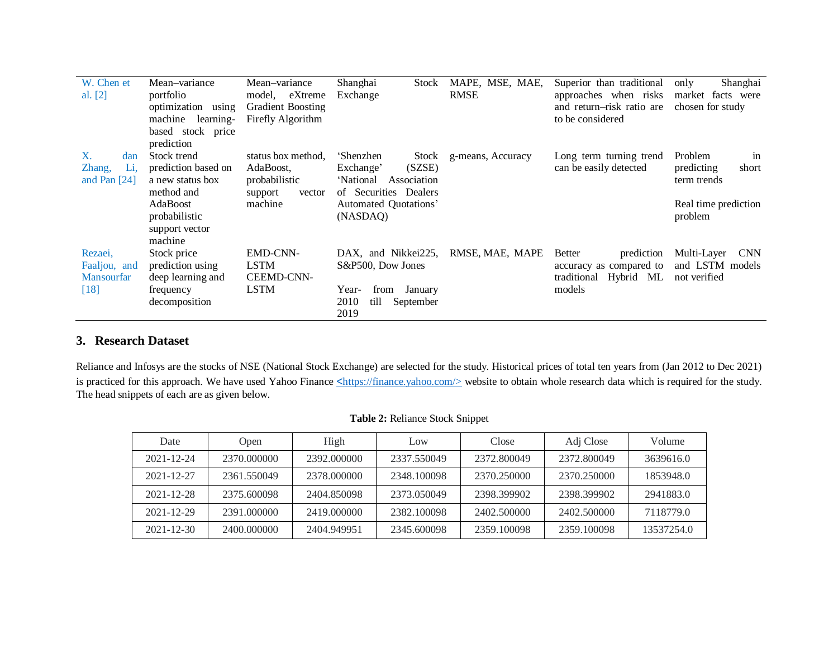| W. Chen et        | Mean-variance         | Mean-variance            | Shanghai<br>Stock         | MAPE, MSE, MAE,   | Superior than traditional   | Shanghai<br>only          |
|-------------------|-----------------------|--------------------------|---------------------------|-------------------|-----------------------------|---------------------------|
| al. [2]           | portfolio             | model, eXtreme           | Exchange                  | <b>RMSE</b>       | approaches when risks       | market facts were         |
|                   | optimization<br>using | <b>Gradient Boosting</b> |                           |                   | and return-risk ratio are   | chosen for study          |
|                   | machine<br>learning-  | Firefly Algorithm        |                           |                   | to be considered            |                           |
|                   | based stock price     |                          |                           |                   |                             |                           |
|                   | prediction            |                          |                           |                   |                             |                           |
| X.<br>dan         | Stock trend           | status box method,       | 'Shenzhen<br>Stock        | g-means, Accuracy | Long term turning trend     | Problem<br>in             |
| Li.<br>Zhang,     | prediction based on   | AdaBoost,                | (SZSE)<br>Exchange'       |                   | can be easily detected      | predicting<br>short       |
| and Pan $[24]$    | a new status box      | probabilistic            | 'National<br>Association  |                   |                             | term trends               |
|                   | method and            | support<br>vector        | of Securities Dealers     |                   |                             |                           |
|                   | AdaBoost              | machine                  | Automated Quotations'     |                   |                             | Real time prediction      |
|                   | probabilistic         |                          | (NASDAQ)                  |                   |                             | problem                   |
|                   | support vector        |                          |                           |                   |                             |                           |
|                   | machine               |                          |                           |                   |                             |                           |
| Rezaei.           | Stock price           | <b>EMD-CNN-</b>          | DAX, and Nikkei225,       | RMSE, MAE, MAPE   | <b>Better</b><br>prediction | Multi-Layer<br><b>CNN</b> |
| Faaljou, and      | prediction using      | <b>LSTM</b>              | S&P500, Dow Jones         |                   | accuracy as compared to     | and LSTM models           |
| <b>Mansourfar</b> | deep learning and     | <b>CEEMD-CNN-</b>        |                           |                   | Hybrid ML<br>traditional    | not verified              |
| [18]              | frequency             | <b>LSTM</b>              | January<br>from<br>Year-  |                   | models                      |                           |
|                   | decomposition         |                          | 2010<br>till<br>September |                   |                             |                           |
|                   |                       |                          | 2019                      |                   |                             |                           |

# **3. Research Dataset**

Reliance and Infosys are the stocks of NSE (National Stock Exchange) are selected for the study. Historical prices of total ten years from (Jan 2012 to Dec 2021) is practiced for this approach. We have used Yahoo Finance <[https://finance.yahoo.com/>](https://finance.yahoo.com/) website to obtain whole research data which is required for the study. The head snippets of each are as given below.

| Date             | Open        | High        | Low         | Close       | Adj Close   | Volume     |
|------------------|-------------|-------------|-------------|-------------|-------------|------------|
| $2021 - 12 - 24$ | 2370.000000 | 2392,000000 | 2337.550049 | 2372.800049 | 2372.800049 | 3639616.0  |
| $2021 - 12 - 27$ | 2361.550049 | 2378,000000 | 2348.100098 | 2370.250000 | 2370.250000 | 1853948.0  |
| $2021 - 12 - 28$ | 2375.600098 | 2404.850098 | 2373.050049 | 2398.399902 | 2398.399902 | 2941883.0  |
| $2021 - 12 - 29$ | 2391,000000 | 2419,000000 | 2382.100098 | 2402.500000 | 2402.500000 | 7118779.0  |
| $2021 - 12 - 30$ | 2400.000000 | 2404.949951 | 2345.600098 | 2359.100098 | 2359.100098 | 13537254.0 |

#### **Table 2:** Reliance Stock Snippet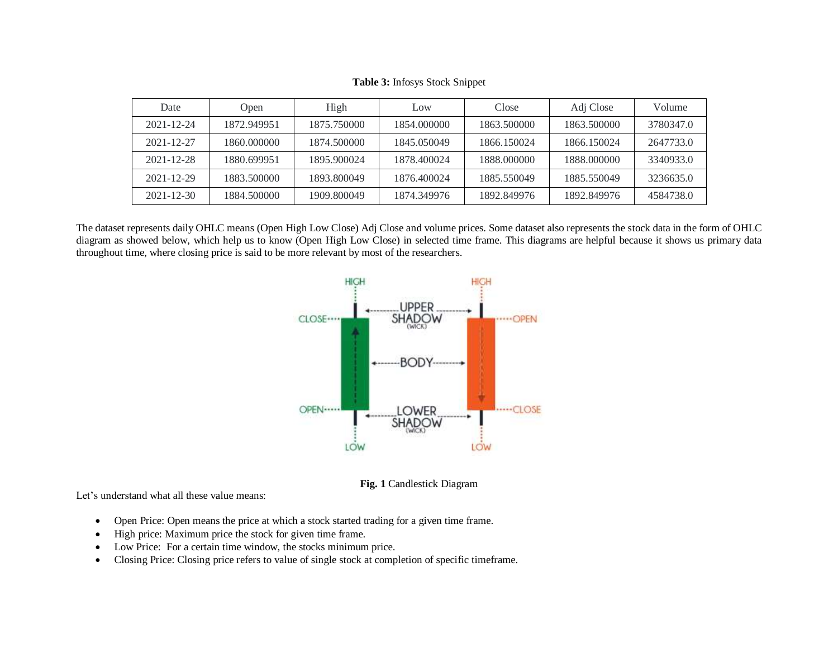| Date             | Open        | High        | Low         | Close       | Adj Close   | Volume    |
|------------------|-------------|-------------|-------------|-------------|-------------|-----------|
| $2021 - 12 - 24$ | 1872.949951 | 1875.750000 | 1854.000000 | 1863.500000 | 1863.500000 | 3780347.0 |
| 2021-12-27       | 1860.000000 | 1874.500000 | 1845.050049 | 1866.150024 | 1866.150024 | 2647733.0 |
| 2021-12-28       | 1880.699951 | 1895.900024 | 1878.400024 | 1888.000000 | 1888.000000 | 3340933.0 |
| $2021 - 12 - 29$ | 1883.500000 | 1893.800049 | 1876.400024 | 1885.550049 | 1885.550049 | 3236635.0 |
| $2021 - 12 - 30$ | 1884.500000 | 1909.800049 | 1874.349976 | 1892.849976 | 1892.849976 | 4584738.0 |

**Table 3:** Infosys Stock Snippet

The dataset represents daily OHLC means (Open High Low Close) Adj Close and volume prices. Some dataset also represents the stock data in the form of OHLC diagram as showed below, which help us to know (Open High Low Close) in selected time frame. This diagrams are helpful because it shows us primary data throughout time, where closing price is said to be more relevant by most of the researchers.



**Fig. 1** Candlestick Diagram

Let's understand what all these value means:

- Open Price: Open means the price at which a stock started trading for a given time frame.
- High price: Maximum price the stock for given time frame.
- Low Price: For a certain time window, the stocks minimum price.
- Closing Price: Closing price refers to value of single stock at completion of specific timeframe.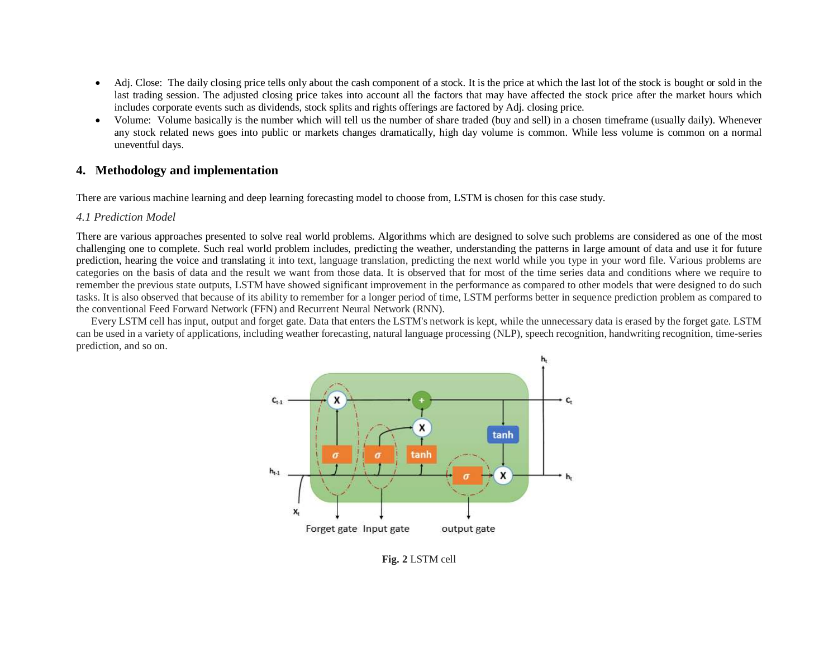- Adj. Close: The daily closing price tells only about the cash component of a stock. It is the price at which the last lot of the stock is bought or sold in the last trading session. The adjusted closing price takes into account all the factors that may have affected the stock price after the market hours which includes corporate events such as dividends, stock splits and rights offerings are factored by Adj. closing price.
- Volume: Volume basically is the number which will tell us the number of share traded (buy and sell) in a chosen timeframe (usually daily). Whenever any stock related news goes into public or markets changes dramatically, high day volume is common. While less volume is common on a normal uneventful days.

### **4. Methodology and implementation**

There are various machine learning and deep learning forecasting model to choose from, LSTM is chosen for this case study.

#### *4.1 Prediction Model*

There are various approaches presented to solve real world problems. Algorithms which are designed to solve such problems are considered as one of the most challenging one to complete. Such real world problem includes, predicting the weather, understanding the patterns in large amount of data and use it for future prediction, hearing the voice and translating it into text, language translation, predicting the next world while you type in your word file. Various problems are categories on the basis of data and the result we want from those data. It is observed that for most of the time series data and conditions where we require to remember the previous state outputs, LSTM have showed significant improvement in the performance as compared to other models that were designed to do such tasks. It is also observed that because of its ability to remember for a longer period of time, LSTM performs better in sequence prediction problem as compared to the conventional Feed Forward Network (FFN) and Recurrent Neural Network (RNN).

Every LSTM cell has input, output and forget gate. Data that enters the LSTM's network is kept, while the unnecessary data is erased by the forget gate. LSTM can be used in a variety of applications, including weather forecasting, natural language processing (NLP), speech recognition, handwriting recognition, time-series prediction, and so on.



**Fig. 2** LSTM cell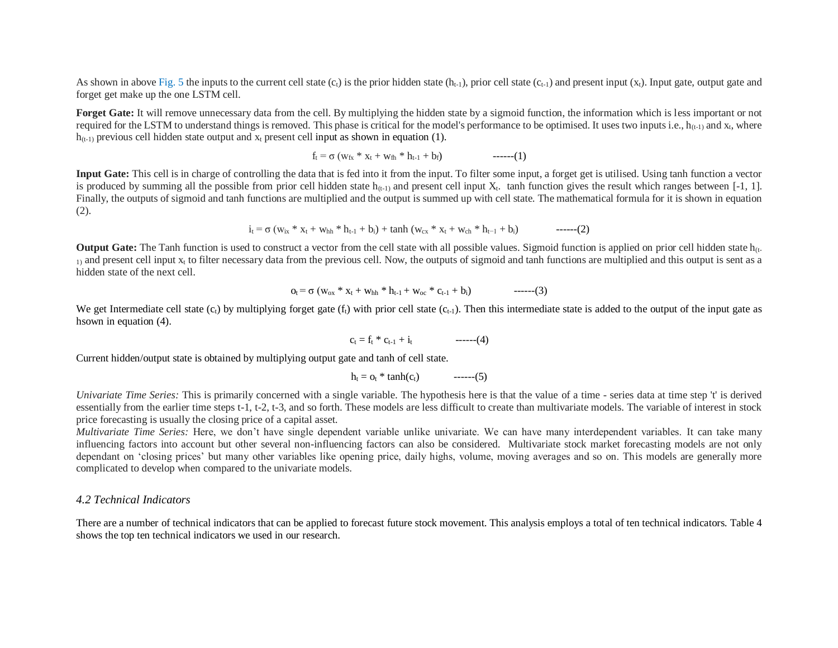As shown in above Fig. 5 the inputs to the current cell state  $(c<sub>t</sub>)$  is the prior hidden state  $(h<sub>t-1</sub>)$ , prior cell state  $(c<sub>t-1</sub>)$  and present input  $(x<sub>t</sub>)$ . Input gate, output gate and forget get make up the one LSTM cell.

**Forget Gate:** It will remove unnecessary data from the cell. By multiplying the hidden state by a sigmoid function, the information which is less important or not required for the LSTM to understand things is removed. This phase is critical for the model's performance to be optimised. It uses two inputs i.e.,  $h_{(t-1)}$  and  $x_t$ , where  $h_{(t-1)}$  previous cell hidden state output and  $x_t$  present cell input as shown in equation (1).

$$
f_t = \sigma (w_{fx} * x_t + w_{fh} * h_{t-1} + b_f) \qquad \qquad \text{---}(1)
$$

**Input Gate:** This cell is in charge of controlling the data that is fed into it from the input. To filter some input, a forget get is utilised. Using tanh function a vector is produced by summing all the possible from prior cell hidden state  $h_{(t-1)}$  and present cell input  $X_t$ . tanh function gives the result which ranges between [-1, 1]. Finally, the outputs of sigmoid and tanh functions are multiplied and the output is summed up with cell state. The mathematical formula for it is shown in equation (2).

$$
i_t = \sigma (w_{ix} * x_t + w_{hh} * h_{t-1} + b_i) + \tanh (w_{cx} * x_t + w_{ch} * h_{t-1} + b_i) \tag{2}
$$

**Output Gate:** The Tanh function is used to construct a vector from the cell state with all possible values. Sigmoid function is applied on prior cell hidden state h<sub>(t-</sub>  $_{1}$  and present cell input  $x_t$  to filter necessary data from the previous cell. Now, the outputs of sigmoid and tanh functions are multiplied and this output is sent as a hidden state of the next cell.

$$
o_t = \sigma (w_{ox} * x_t + w_{hh} * h_{t-1} + w_{oc} * c_{t-1} + b_i) \qquad \qquad \text{---}(3)
$$

We get Intermediate cell state  $(c_1)$  by multiplying forget gate  $(f_1)$  with prior cell state  $(c_{t-1})$ . Then this intermediate state is added to the output of the input gate as hsown in equation (4).

$$
c_t = f_t * c_{t-1} + i_t \qquad \qquad -----(4)
$$

Current hidden/output state is obtained by multiplying output gate and tanh of cell state.

$$
h_t = o_t * \tanh(c_t) \qquad \qquad \text{---}(5)
$$

*Univariate Time Series:* This is primarily concerned with a single variable. The hypothesis here is that the value of a time - series data at time step 't' is derived essentially from the earlier time steps t-1, t-2, t-3, and so forth. These models are less difficult to create than multivariate models. The variable of interest in stock price forecasting is usually the closing price of a capital asset.

*Multivariate Time Series:* Here, we don't have single dependent variable unlike univariate. We can have many interdependent variables. It can take many influencing factors into account but other several non-influencing factors can also be considered. Multivariate stock market forecasting models are not only dependant on 'closing prices' but many other variables like opening price, daily highs, volume, moving averages and so on. This models are generally more complicated to develop when compared to the univariate models.

#### *4.2 Technical Indicators*

There are a number of technical indicators that can be applied to forecast future stock movement. This analysis employs a total of ten technical indicators. Table 4 shows the top ten technical indicators we used in our research.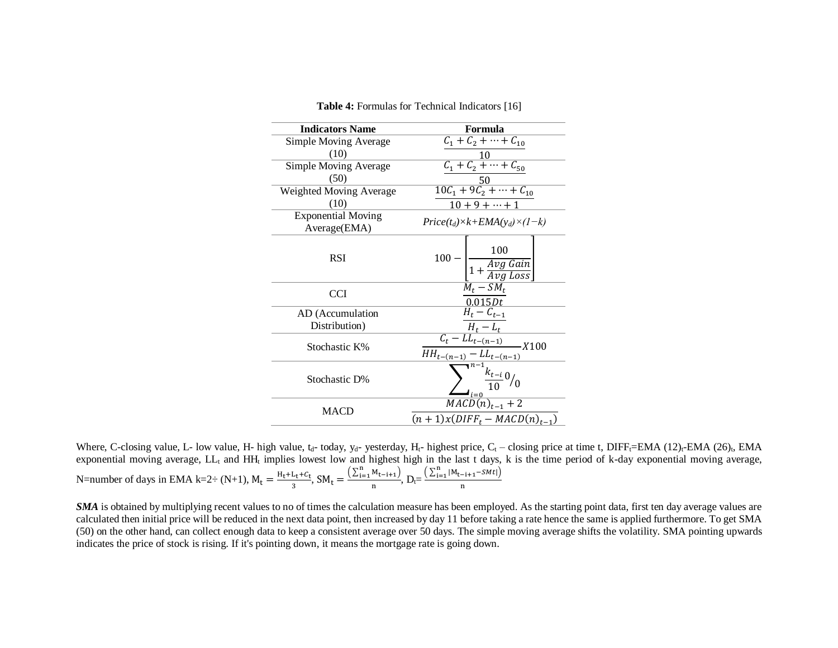| <b>Indicators Name</b>                    | Formula                                                                                                                                                      |
|-------------------------------------------|--------------------------------------------------------------------------------------------------------------------------------------------------------------|
| <b>Simple Moving Average</b>              | $C_1 + C_2 + \cdots + C_{10}$                                                                                                                                |
| (10)                                      |                                                                                                                                                              |
| <b>Simple Moving Average</b>              | $\frac{10}{C_1 + C_2 + \dots + C_{50}}$                                                                                                                      |
| (50)                                      | $\frac{50}{10C_1+9C_2+\cdots+C_{10}}$                                                                                                                        |
| Weighted Moving Average                   |                                                                                                                                                              |
| (10)                                      | $10 + 9 + \cdots + 1$                                                                                                                                        |
| <b>Exponential Moving</b><br>Average(EMA) | $Price(t_d)\times k+EMA(y_d)\times (1-k)$                                                                                                                    |
| <b>RSI</b>                                | $-\frac{100}{1+\frac{Avg\ Gain}{Avg\ Loss}}$<br>$100 -$                                                                                                      |
| <b>CCI</b>                                | $M_t$ – $SM_t$<br>0.015Dt                                                                                                                                    |
| AD (Accumulation                          | $\overline{H_t}-C_{t-1}$                                                                                                                                     |
| Distribution)                             |                                                                                                                                                              |
| Stochastic K%                             |                                                                                                                                                              |
| Stochastic D%                             | $\begin{array}{c c} \hline H_t-L_t & \\ \hline C_t-LL_{t-(n-1)} & \\ \hline HH_{t-(n-1)}-LL_{t-(n-1)} & \\ & \text{MACD}(n)_{t-1}+2 & \\ \hline \end{array}$ |
| <b>MACD</b>                               | $(n + 1)x(DIFFt - MACD(n)t-1)$                                                                                                                               |

**Table 4:** Formulas for Technical Indicators [16]

Where, C-closing value, L- low value, H- high value, t<sub>d</sub>- today, y<sub>d</sub>- yesterday, H<sub>t</sub>- highest price, C<sub>t</sub> – closing price at time t, DIFF<sub>t</sub>=EMA (12)<sub>t</sub>-EMA (26)<sub>t</sub>, EMA exponential moving average,  $LL_t$  and HH<sub>t</sub> implies lowest low and highest high in the last t days, k is the time period of k-day exponential moving average, N=number of days in EMA k=2÷ (N+1),  $M_t = \frac{H_t + L_t + C_t}{3}$  $\frac{L_t + C_t}{3}$ , SM<sub>t</sub> =  $\frac{(\sum_{i=1}^{n} M_{t-i+1})}{n}$  $\frac{M_{t-i+1}}{n}$ ,  $D_t = \frac{\left(\sum_{i=1}^n |M_{t-i+1} - SM_t|\right)}{n}$ n

*SMA* is obtained by multiplying recent values to no of times the calculation measure has been employed. As the starting point data, first ten day average values are calculated then initial price will be reduced in the next data point, then increased by day 11 before taking a rate hence the same is applied furthermore. To get SMA (50) on the other hand, can collect enough data to keep a consistent average over 50 days. The simple moving average shifts the volatility. SMA pointing upwards indicates the price of stock is rising. If it's pointing down, it means the mortgage rate is going down.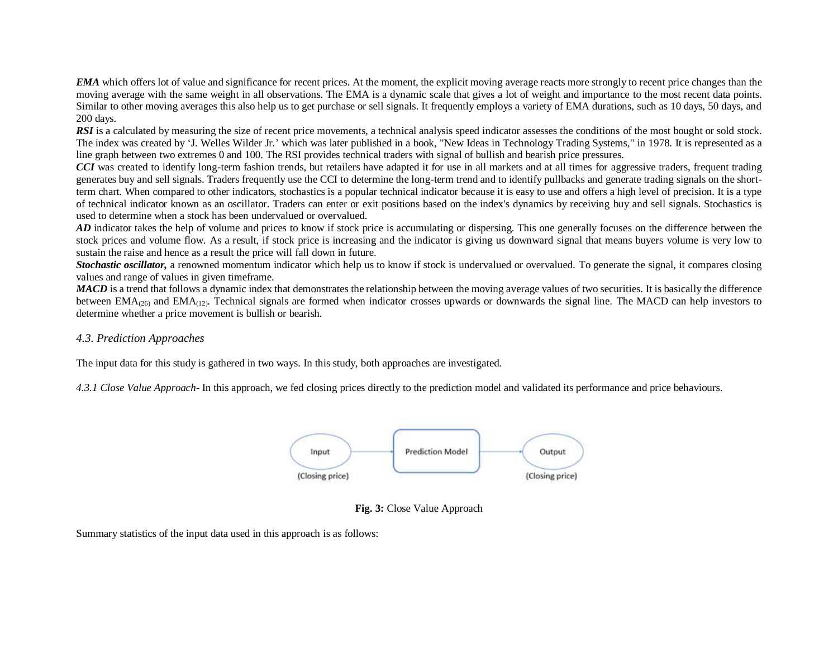*EMA* which offers lot of value and significance for recent prices. At the moment, the explicit moving average reacts more strongly to recent price changes than the moving average with the same weight in all observations. The EMA is a dynamic scale that gives a lot of weight and importance to the most recent data points. Similar to other moving averages this also help us to get purchase or sell signals. It frequently employs a variety of EMA durations, such as 10 days, 50 days, and 200 days.

*RSI* is a calculated by measuring the size of recent price movements, a technical analysis speed indicator assesses the conditions of the most bought or sold stock. The index was created by 'J. Welles Wilder Jr.' which was later published in a book, "New Ideas in Technology Trading Systems," in 1978. It is represented as a line graph between two extremes 0 and 100. The RSI provides technical traders with signal of bullish and bearish price pressures.

*CCI* was created to identify long-term fashion trends, but retailers have adapted it for use in all markets and at all times for aggressive traders, frequent trading generates buy and sell signals. Traders frequently use the CCI to determine the long-term trend and to identify pullbacks and generate trading signals on the shortterm chart. When compared to other indicators, stochastics is a popular technical indicator because it is easy to use and offers a high level of precision. It is a type of technical indicator known as an oscillator. Traders can enter or exit positions based on the index's dynamics by receiving buy and sell signals. Stochastics is used to determine when a stock has been undervalued or overvalued.

*AD* indicator takes the help of volume and prices to know if stock price is accumulating or dispersing. This one generally focuses on the difference between the stock prices and volume flow. As a result, if stock price is increasing and the indicator is giving us downward signal that means buyers volume is very low to sustain the raise and hence as a result the price will fall down in future.

**Stochastic oscillator,** a renowned momentum indicator which help us to know if stock is undervalued or overvalued. To generate the signal, it compares closing values and range of values in given timeframe.

*MACD* is a trend that follows a dynamic index that demonstrates the relationship between the moving average values of two securities. It is basically the difference between  $EMA_{(26)}$  and  $EMA_{(12)}$ . Technical signals are formed when indicator crosses upwards or downwards the signal line. The MACD can help investors to determine whether a price movement is bullish or bearish.

### *4.3. Prediction Approaches*

The input data for this study is gathered in two ways. In this study, both approaches are investigated.

*4.3.1 Close Value Approach-* In this approach, we fed closing prices directly to the prediction model and validated its performance and price behaviours.





Summary statistics of the input data used in this approach is as follows: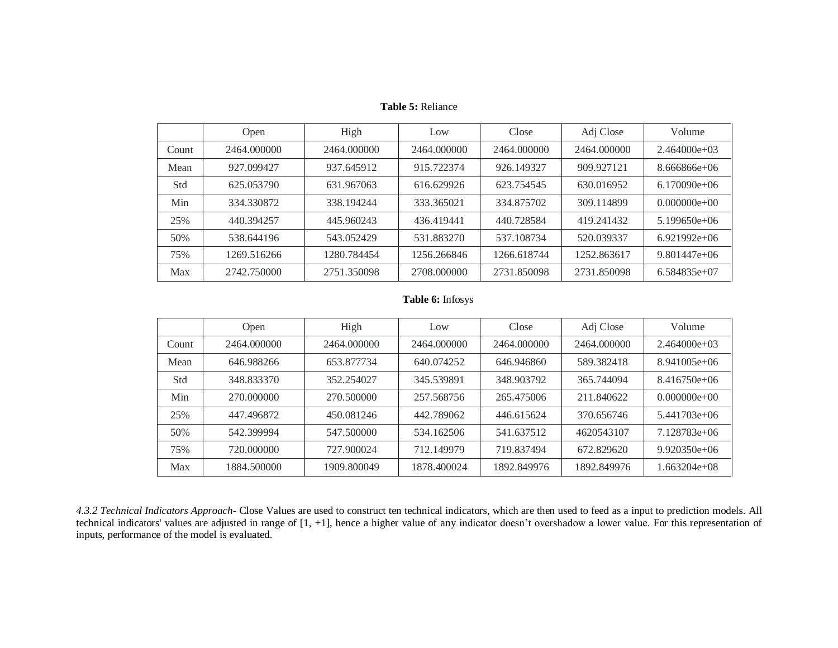|       | Open        | High        | Low         | Close       | Adj Close   | Volume         |
|-------|-------------|-------------|-------------|-------------|-------------|----------------|
| Count | 2464.000000 | 2464,000000 | 2464.000000 | 2464,000000 | 2464.000000 | $2.464000e+03$ |
| Mean  | 927.099427  | 937.645912  | 915.722374  | 926.149327  | 909.927121  | $8.666866e+06$ |
| Std   | 625.053790  | 631.967063  | 616.629926  | 623.754545  | 630.016952  | $6.170090e+06$ |
| Min   | 334.330872  | 338.194244  | 333.365021  | 334.875702  | 309.114899  | $0.000000e+00$ |
| 25%   | 440.394257  | 445.960243  | 436.419441  | 440.728584  | 419.241432  | $5.199650e+06$ |
| 50%   | 538.644196  | 543.052429  | 531.883270  | 537.108734  | 520.039337  | $6.921992e+06$ |
| 75%   | 1269.516266 | 1280.784454 | 1256.266846 | 1266.618744 | 1252.863617 | $9.801447e+06$ |
| Max   | 2742.750000 | 2751.350098 | 2708.000000 | 2731.850098 | 2731.850098 | $6.584835e+07$ |

**Table 5:** Reliance

### **Table 6:** Infosys

|       | Open        | High        | Low         | Close       | Adj Close   | Volume         |
|-------|-------------|-------------|-------------|-------------|-------------|----------------|
| Count | 2464.000000 | 2464,000000 | 2464.000000 | 2464.000000 | 2464.000000 | $2.464000e+03$ |
| Mean  | 646.988266  | 653.877734  | 640.074252  | 646.946860  | 589.382418  | $8.941005e+06$ |
| Std   | 348.833370  | 352.254027  | 345.539891  | 348.903792  | 365.744094  | $8.416750e+06$ |
| Min   | 270.000000  | 270.500000  | 257.568756  | 265.475006  | 211.840622  | $0.000000e+00$ |
| 25%   | 447.496872  | 450.081246  | 442.789062  | 446.615624  | 370.656746  | $5.441703e+06$ |
| 50%   | 542.399994  | 547.500000  | 534.162506  | 541.637512  | 4620543107  | 7.128783e+06   |
| 75%   | 720.000000  | 727.900024  | 712.149979  | 719.837494  | 672.829620  | $9.920350e+06$ |
| Max   | 1884.500000 | 1909.800049 | 1878.400024 | 1892.849976 | 1892.849976 | $1.663204e+08$ |

*4.3.2 Technical Indicators Approach-* Close Values are used to construct ten technical indicators, which are then used to feed as a input to prediction models. All technical indicators' values are adjusted in range of [1, +1], hence a higher value of any indicator doesn't overshadow a lower value. For this representation of inputs, performance of the model is evaluated.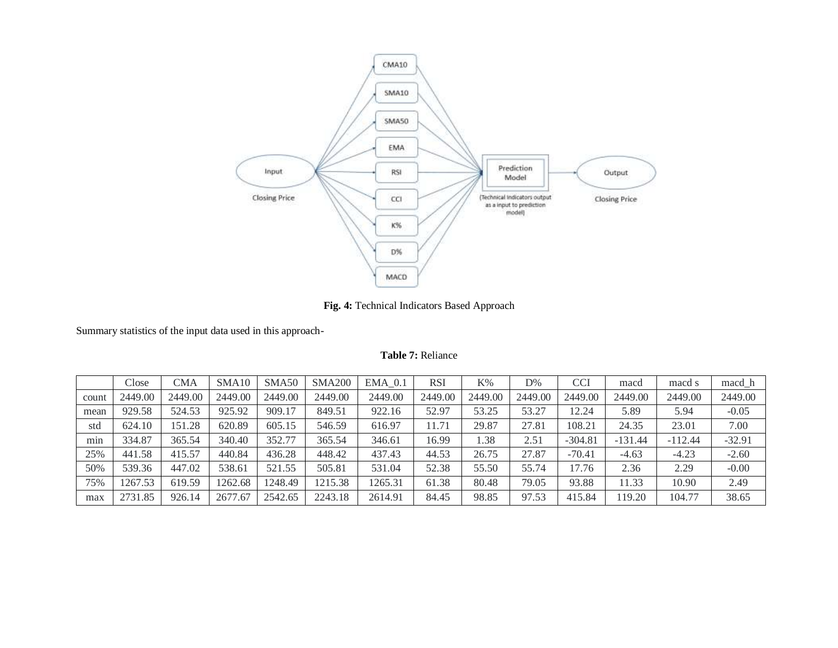

**Fig. 4:** Technical Indicators Based Approach

Summary statistics of the input data used in this approach-

**Table 7:** Reliance

|       | Close   | CMA     | SMA <sub>10</sub> | SMA <sub>50</sub> | <b>SMA200</b> | $EMA$ 0.1 | <b>RSI</b> | K%      | D%      | <b>CCI</b> | macd      | macd s    | macd h   |
|-------|---------|---------|-------------------|-------------------|---------------|-----------|------------|---------|---------|------------|-----------|-----------|----------|
| count | 2449.00 | 2449.00 | 2449.00           | 2449.00           | 2449.00       | 2449.00   | 2449.00    | 2449.00 | 2449.00 | 2449.00    | 2449.00   | 2449.00   | 2449.00  |
| mean  | 929.58  | 524.53  | 925.92            | 909.17            | 849.51        | 922.16    | 52.97      | 53.25   | 53.27   | 12.24      | 5.89      | 5.94      | $-0.05$  |
| std   | 624.10  | 151.28  | 620.89            | 605.15            | 546.59        | 616.97    | 11.71      | 29.87   | 27.81   | 108.21     | 24.35     | 23.01     | 7.00     |
| min   | 334.87  | 365.54  | 340.40            | 352.77            | 365.54        | 346.61    | 16.99      | 1.38    | 2.51    | $-304.81$  | $-131.44$ | $-112.44$ | $-32.91$ |
| 25%   | 441.58  | 415.57  | 440.84            | 436.28            | 448.42        | 437.43    | 44.53      | 26.75   | 27.87   | $-70.41$   | $-4.63$   | $-4.23$   | $-2.60$  |
| 50%   | 539.36  | 447.02  | 538.61            | 521.55            | 505.81        | 531.04    | 52.38      | 55.50   | 55.74   | 17.76      | 2.36      | 2.29      | $-0.00$  |
| 75%   | 1267.53 | 619.59  | 262.68            | 1248.49           | 1215.38       | 1265.31   | 61.38      | 80.48   | 79.05   | 93.88      | 11.33     | 10.90     | 2.49     |
| max   | 2731.85 | 926.14  | 2677.67           | 2542.65           | 2243.18       | 2614.91   | 84.45      | 98.85   | 97.53   | 415.84     | 119.20    | 104.77    | 38.65    |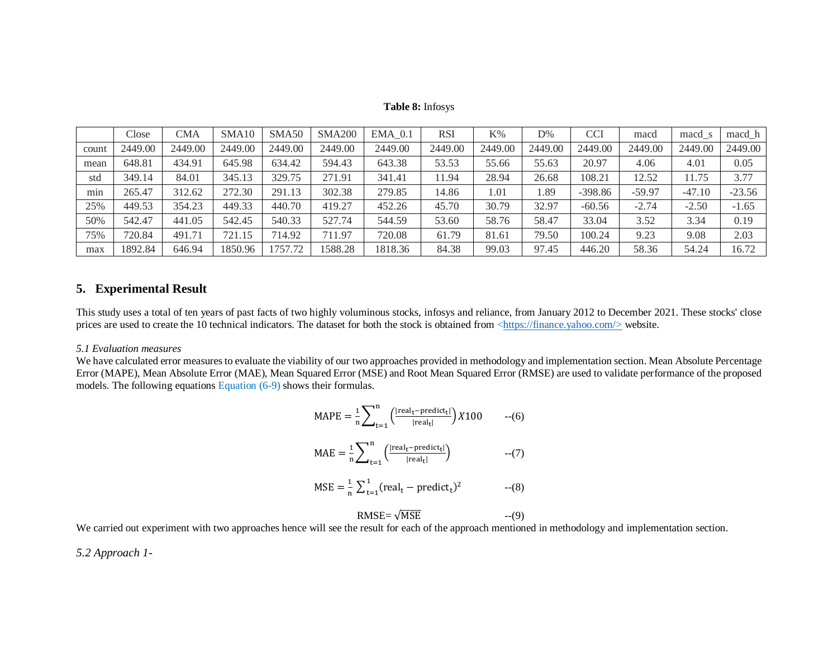#### **Table 8:** Infosys

|       | Close   | CMA     | SMA <sub>10</sub> | SMA <sub>50</sub> | <b>SMA200</b> | $EMA$ 0.1 | <b>RSI</b> | $K\%$   | D%      | CCI       | macd     | macd s   | macd h   |
|-------|---------|---------|-------------------|-------------------|---------------|-----------|------------|---------|---------|-----------|----------|----------|----------|
| count | 2449.00 | 2449.00 | 2449.00           | 2449.00           | 2449.00       | 2449.00   | 2449.00    | 2449.00 | 2449.00 | 2449.00   | 2449.00  | 2449.00  | 2449.00  |
| mean  | 648.81  | 434.91  | 645.98            | 634.42            | 594.43        | 643.38    | 53.53      | 55.66   | 55.63   | 20.97     | 4.06     | 4.01     | 0.05     |
| std   | 349.14  | 84.01   | 345.13            | 329.75            | 271.91        | 341.41    | 11.94      | 28.94   | 26.68   | 108.21    | 12.52    | 11.75    | 3.77     |
| min   | 265.47  | 312.62  | 272.30            | 291.13            | 302.38        | 279.85    | 14.86      | 1.01    | . 89    | $-398.86$ | $-59.97$ | $-47.10$ | $-23.56$ |
| 25%   | 449.53  | 354.23  | 449.33            | 440.70            | 419.27        | 452.26    | 45.70      | 30.79   | 32.97   | $-60.56$  | $-2.74$  | $-2.50$  | $-1.65$  |
| 50%   | 542.47  | 441.05  | 542.45            | 540.33            | 527.74        | 544.59    | 53.60      | 58.76   | 58.47   | 33.04     | 3.52     | 3.34     | 0.19     |
| 75%   | 720.84  | 491.71  | 721.15            | 714.92            | 711.97        | 720.08    | 61.79      | 81.61   | 79.50   | 100.24    | 9.23     | 9.08     | 2.03     |
| max   | 1892.84 | 646.94  | 1850.96           | 757.72            | 1588.28       | 1818.36   | 84.38      | 99.03   | 97.45   | 446.20    | 58.36    | 54.24    | 16.72    |

### **5. Experimental Result**

This study uses a total of ten years of past facts of two highly voluminous stocks, infosys and reliance, from January 2012 to December 2021. These stocks' close prices are used to create the 10 technical indicators. The dataset for both the stock is obtained from  $\langle \frac{https://finance.yahoo.com/}{https://finance.yahoo.com/}{\rangle}$  website.

#### *5.1 Evaluation measures*

We have calculated error measures to evaluate the viability of our two approaches provided in methodology and implementation section. Mean Absolute Percentage Error (MAPE), Mean Absolute Error (MAE), Mean Squared Error (MSE) and Root Mean Squared Error (RMSE) are used to validate performance of the proposed models. The following equations Equation  $(6-9)$  shows their formulas.

$$
MAPE = \frac{1}{n} \sum_{t=1}^{n} \left( \frac{|\text{real}_{t} - \text{predict}_{t}|}{|\text{real}_{t}|} \right) X100 \qquad -(6)
$$

$$
MAE = \frac{1}{n} \sum_{t=1}^{n} \left( \frac{|real_t - predict_t|}{|real_t|} \right) \qquad --(7)
$$

$$
MSE = \frac{1}{n} \sum_{t=1}^{1} (real_t - predict_t)^2
$$
 --(8)

$$
RMSE = \sqrt{MSE} \qquad \qquad --(9)
$$

We carried out experiment with two approaches hence will see the result for each of the approach mentioned in methodology and implementation section.

*5.2 Approach 1-*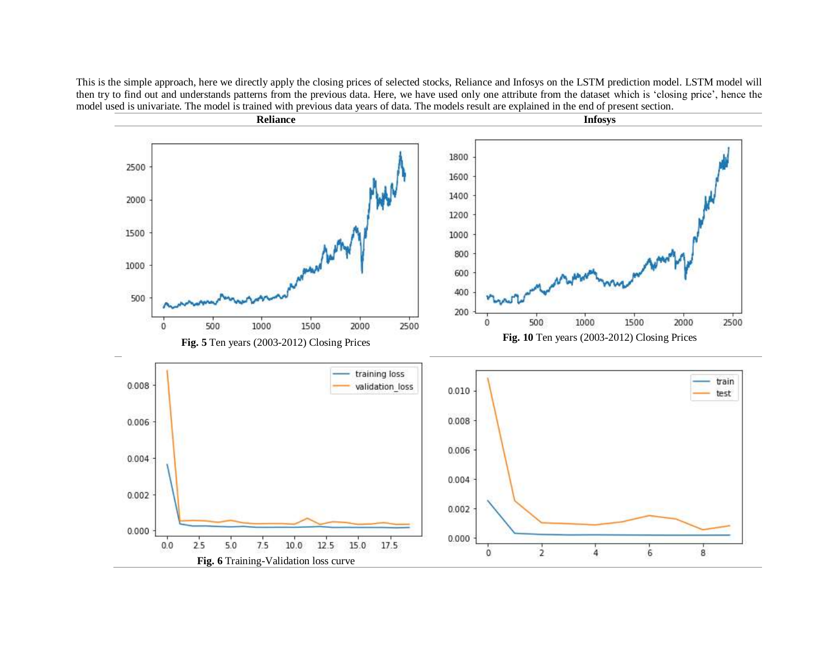This is the simple approach, here we directly apply the closing prices of selected stocks, Reliance and Infosys on the LSTM prediction model. LSTM model will then try to find out and understands patterns from the previous data. Here, we have used only one attribute from the dataset which is 'closing price', hence the model used is univariate. The model is trained with previous data years of data. The models result are explained in the end of present section.

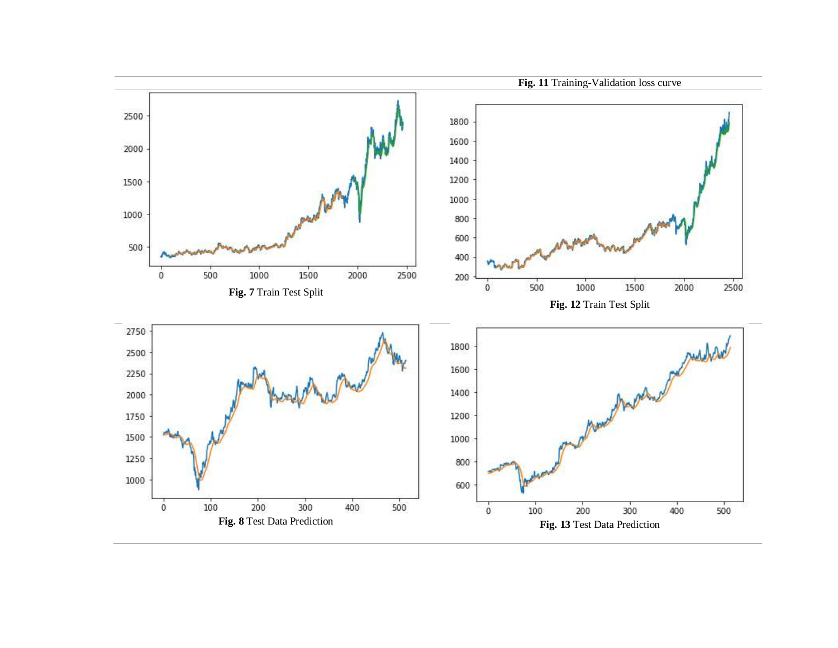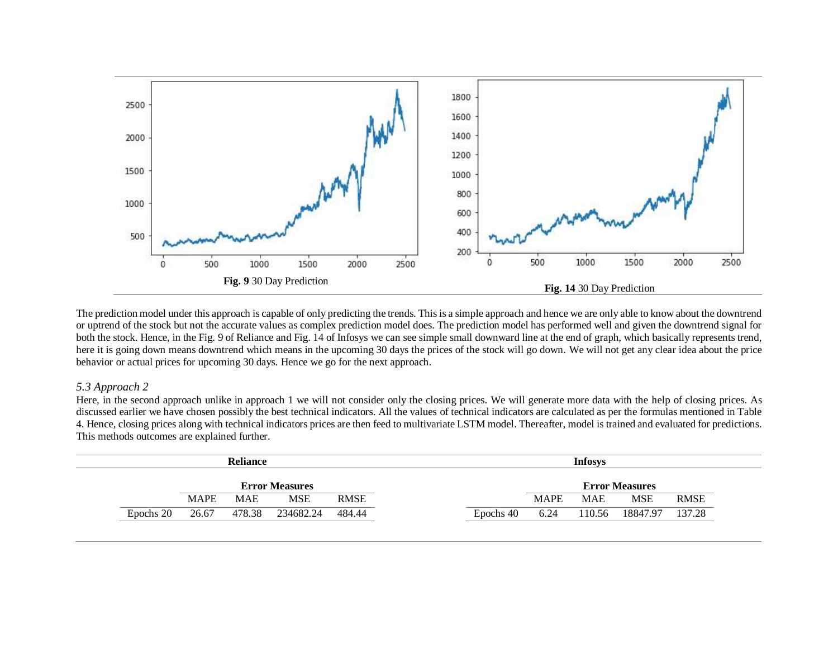

The prediction model under this approach is capable of only predicting the trends. This is a simple approach and hence we are only able to know about the downtrend or uptrend of the stock but not the accurate values as complex prediction model does. The prediction model has performed well and given the downtrend signal for both the stock. Hence, in the Fig. 9 of Reliance and Fig. 14 of Infosys we can see simple small downward line at the end of graph, which basically represents trend, here it is going down means downtrend which means in the upcoming 30 days the prices of the stock will go down. We will not get any clear idea about the price behavior or actual prices for upcoming 30 days. Hence we go for the next approach.

### *5.3 Approach 2*

Here, in the second approach unlike in approach 1 we will not consider only the closing prices. We will generate more data with the help of closing prices. As discussed earlier we have chosen possibly the best technical indicators. All the values of technical indicators are calculated as per the formulas mentioned in Table 4. Hence, closing prices along with technical indicators prices are then feed to multivariate LSTM model. Thereafter, model is trained and evaluated for predictions. This methods outcomes are explained further.

| <b>Reliance</b>       |             |            |            |             |           | Infosys     |            |                       |             |  |
|-----------------------|-------------|------------|------------|-------------|-----------|-------------|------------|-----------------------|-------------|--|
| <b>Error Measures</b> |             |            |            |             |           |             |            | <b>Error Measures</b> |             |  |
|                       | <b>MAPE</b> | <b>MAE</b> | <b>MSE</b> | <b>RMSE</b> |           | <b>MAPE</b> | <b>MAE</b> | <b>MSE</b>            | <b>RMSE</b> |  |
| Epochs 20             | 26.67       | 478.38     | 234682.24  | 484.44      | Epochs 40 | 6.24        | 110.56     | 18847.97              | 137.28      |  |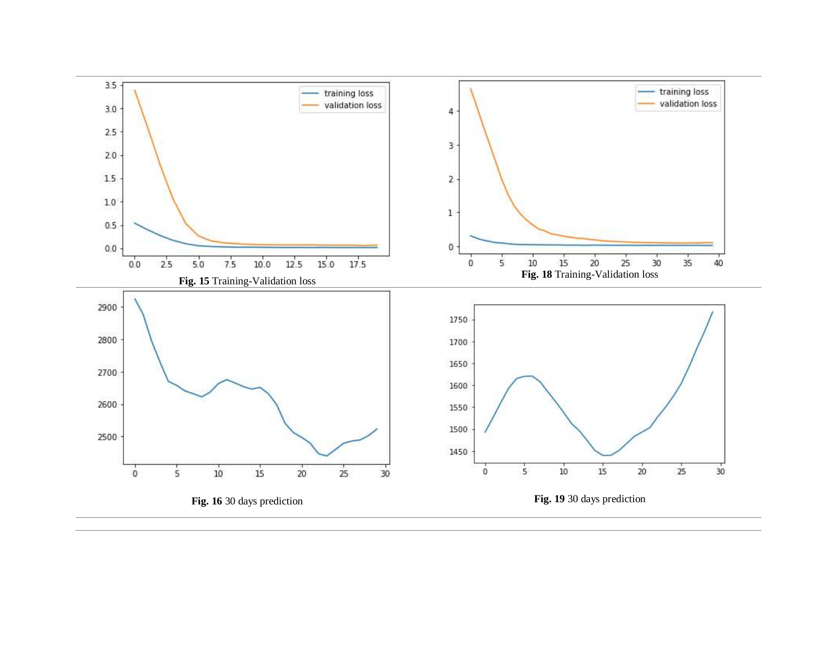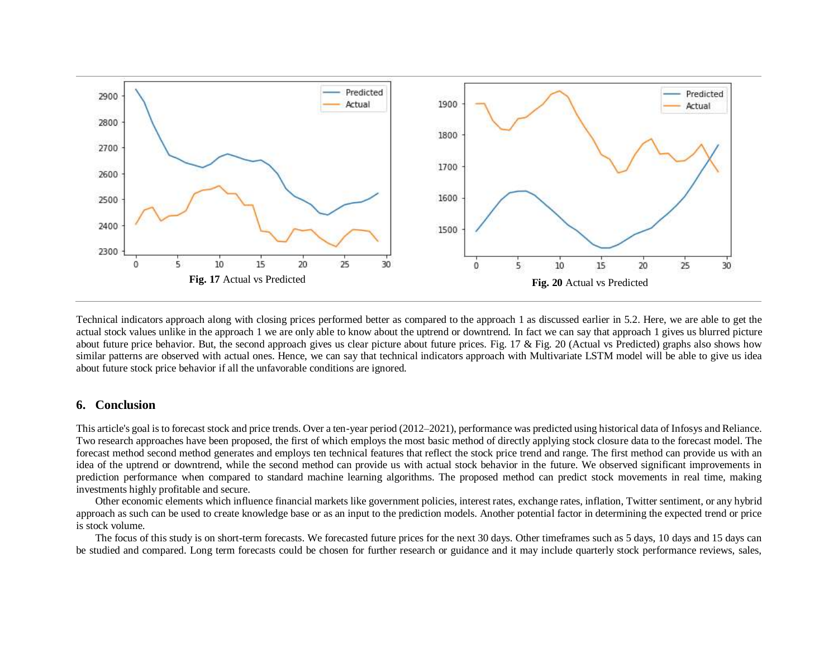

Technical indicators approach along with closing prices performed better as compared to the approach 1 as discussed earlier in 5.2. Here, we are able to get the actual stock values unlike in the approach 1 we are only able to know about the uptrend or downtrend. In fact we can say that approach 1 gives us blurred picture about future price behavior. But, the second approach gives us clear picture about future prices. Fig. 17  $\&$  Fig. 20 (Actual vs Predicted) graphs also shows how similar patterns are observed with actual ones. Hence, we can say that technical indicators approach with Multivariate LSTM model will be able to give us idea about future stock price behavior if all the unfavorable conditions are ignored.

## **6. Conclusion**

This article's goal is to forecast stock and price trends. Over a ten-year period (2012–2021), performance was predicted using historical data of Infosys and Reliance. Two research approaches have been proposed, the first of which employs the most basic method of directly applying stock closure data to the forecast model. The forecast method second method generates and employs ten technical features that reflect the stock price trend and range. The first method can provide us with an idea of the uptrend or downtrend, while the second method can provide us with actual stock behavior in the future. We observed significant improvements in prediction performance when compared to standard machine learning algorithms. The proposed method can predict stock movements in real time, making investments highly profitable and secure.

Other economic elements which influence financial markets like government policies, interest rates, exchange rates, inflation, Twitter sentiment, or any hybrid approach as such can be used to create knowledge base or as an input to the prediction models. Another potential factor in determining the expected trend or price is stock volume.

The focus of this study is on short-term forecasts. We forecasted future prices for the next 30 days. Other timeframes such as 5 days, 10 days and 15 days can be studied and compared. Long term forecasts could be chosen for further research or guidance and it may include quarterly stock performance reviews, sales,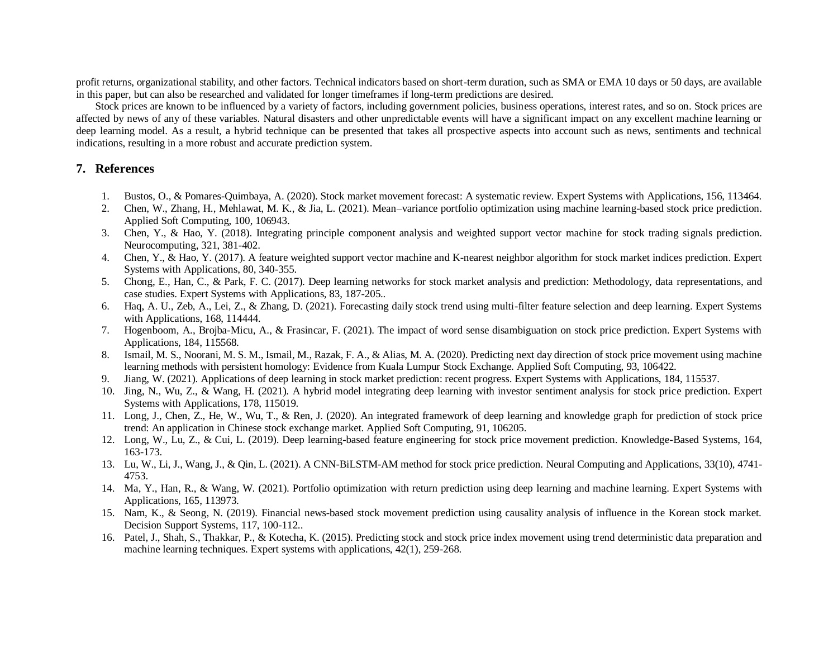profit returns, organizational stability, and other factors. Technical indicators based on short-term duration, such as SMA or EMA 10 days or 50 days, are available in this paper, but can also be researched and validated for longer timeframes if long-term predictions are desired.

Stock prices are known to be influenced by a variety of factors, including government policies, business operations, interest rates, and so on. Stock prices are affected by news of any of these variables. Natural disasters and other unpredictable events will have a significant impact on any excellent machine learning or deep learning model. As a result, a hybrid technique can be presented that takes all prospective aspects into account such as news, sentiments and technical indications, resulting in a more robust and accurate prediction system.

## **7. References**

- 1. Bustos, O., & Pomares-Quimbaya, A. (2020). Stock market movement forecast: A systematic review. Expert Systems with Applications, 156, 113464.
- 2. Chen, W., Zhang, H., Mehlawat, M. K., & Jia, L. (2021). Mean–variance portfolio optimization using machine learning-based stock price prediction. Applied Soft Computing, 100, 106943.
- 3. Chen, Y., & Hao, Y. (2018). Integrating principle component analysis and weighted support vector machine for stock trading signals prediction. Neurocomputing, 321, 381-402.
- 4. Chen, Y., & Hao, Y. (2017). A feature weighted support vector machine and K-nearest neighbor algorithm for stock market indices prediction. Expert Systems with Applications, 80, 340-355.
- 5. Chong, E., Han, C., & Park, F. C. (2017). Deep learning networks for stock market analysis and prediction: Methodology, data representations, and case studies. Expert Systems with Applications, 83, 187-205..
- 6. Haq, A. U., Zeb, A., Lei, Z., & Zhang, D. (2021). Forecasting daily stock trend using multi-filter feature selection and deep learning. Expert Systems with Applications, 168, 114444.
- 7. Hogenboom, A., Brojba-Micu, A., & Frasincar, F. (2021). The impact of word sense disambiguation on stock price prediction. Expert Systems with Applications, 184, 115568.
- 8. Ismail, M. S., Noorani, M. S. M., Ismail, M., Razak, F. A., & Alias, M. A. (2020). Predicting next day direction of stock price movement using machine learning methods with persistent homology: Evidence from Kuala Lumpur Stock Exchange. Applied Soft Computing, 93, 106422.
- 9. Jiang, W. (2021). Applications of deep learning in stock market prediction: recent progress. Expert Systems with Applications, 184, 115537.
- 10. Jing, N., Wu, Z., & Wang, H. (2021). A hybrid model integrating deep learning with investor sentiment analysis for stock price prediction. Expert Systems with Applications, 178, 115019.
- 11. Long, J., Chen, Z., He, W., Wu, T., & Ren, J. (2020). An integrated framework of deep learning and knowledge graph for prediction of stock price trend: An application in Chinese stock exchange market. Applied Soft Computing, 91, 106205.
- 12. Long, W., Lu, Z., & Cui, L. (2019). Deep learning-based feature engineering for stock price movement prediction. Knowledge-Based Systems, 164, 163-173.
- 13. Lu, W., Li, J., Wang, J., & Qin, L. (2021). A CNN-BiLSTM-AM method for stock price prediction. Neural Computing and Applications, 33(10), 4741- 4753.
- 14. Ma, Y., Han, R., & Wang, W. (2021). Portfolio optimization with return prediction using deep learning and machine learning. Expert Systems with Applications, 165, 113973.
- 15. Nam, K., & Seong, N. (2019). Financial news-based stock movement prediction using causality analysis of influence in the Korean stock market. Decision Support Systems, 117, 100-112..
- 16. Patel, J., Shah, S., Thakkar, P., & Kotecha, K. (2015). Predicting stock and stock price index movement using trend deterministic data preparation and machine learning techniques. Expert systems with applications, 42(1), 259-268.